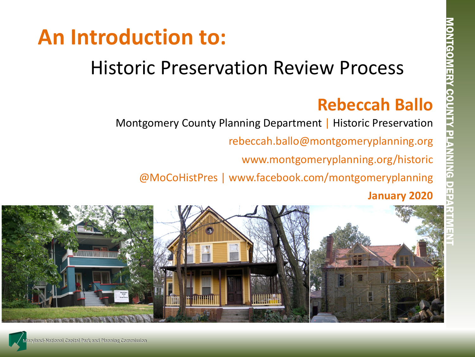## **An Introduction to:**

## Historic Preservation Review Process

### **Rebeccah Ballo**

Montgomery County Planning Department | Historic Preservation

rebeccah.ballo@montgomeryplanning.org

www.montgomeryplanning.org/historic

@MoCoHistPres | www.facebook.com/montgomeryplanning

**January 2020**

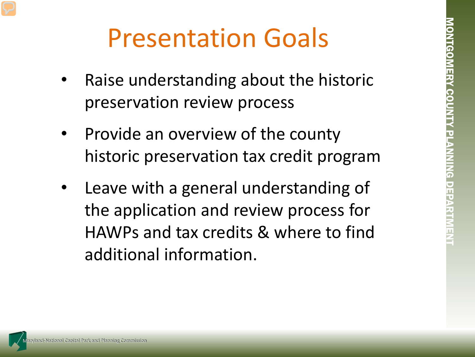# Presentation Goals

- Raise understanding about the historic preservation review process
- Provide an overview of the county historic preservation tax credit program
- Leave with a general understanding of the application and review process for HAWPs and tax credits & where to find additional information.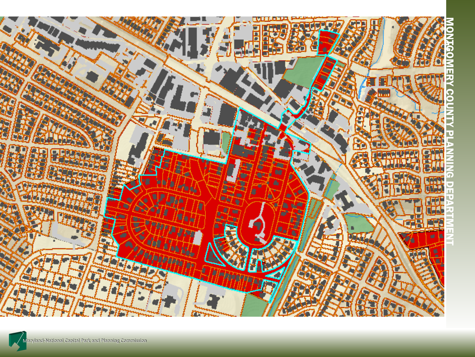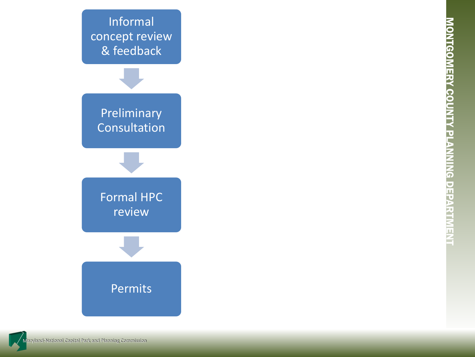

Maryland-National Capital Park and Planning Commission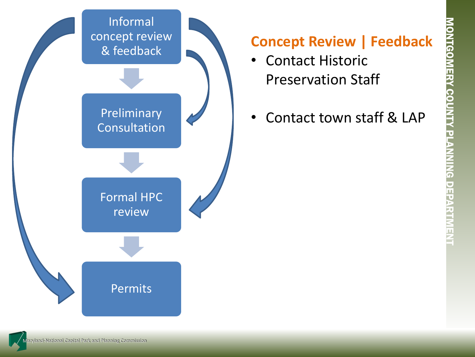



### **Concept Review | Feedback**

- Contact Historic Preservation Staff
- Contact town staff & LAP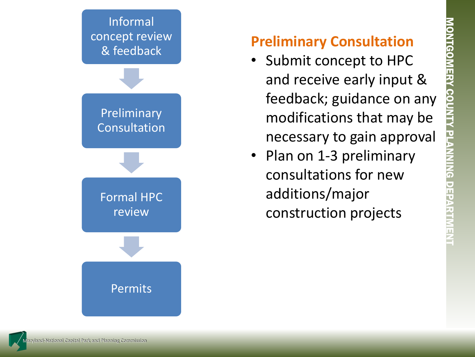

### **Preliminary Consultation**

- Submit concept to HPC and receive early input & feedback; guidance on any modifications that may be necessary to gain approval
- Plan on 1-3 preliminary consultations for new additions/major construction projects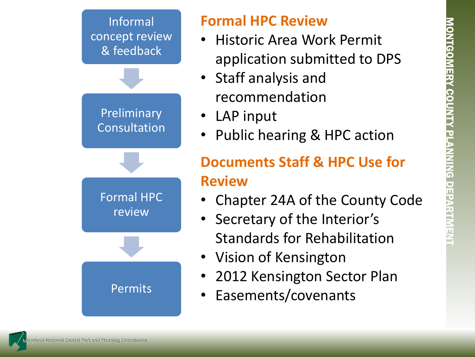

### **Formal HPC Review**

- Historic Area Work Permit application submitted to DPS
- Staff analysis and recommendation
- LAP input
- Public hearing & HPC action

## **Documents Staff & HPC Use for Review**

- Chapter 24A of the County Code
- Secretary of the Interior's Standards for Rehabilitation
- Vision of Kensington
- 2012 Kensington Sector Plan
- Easements/covenants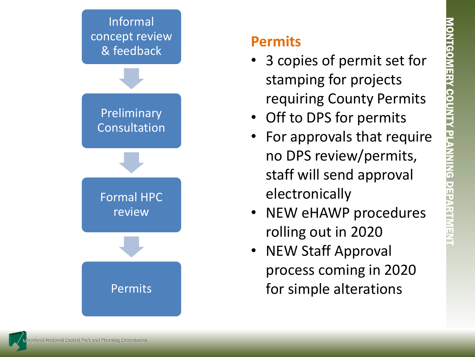

#### **Permits**

- 3 copies of permit set for stamping for projects requiring County Permits
- Off to DPS for permits
- For approvals that require no DPS review/permits, staff will send approval electronically
- NEW eHAWP procedures rolling out in 2020
- NEW Staff Approval process coming in 2020 for simple alterations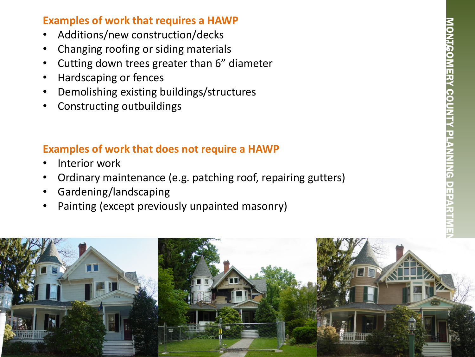#### **Examples of work that requires a HAWP**

- Additions/new construction/decks
- Additions/new construction/decks<br>• Changing roofing or siding materials
- Cutting down trees greater than 6" diameter
- Hardscaping or fences
- Demolishing existing buildings/structures
- Constructing outbuildings

#### **Examples of work that does not require a HAWP**

- Interior work
- Ordinary maintenance (e.g. patching roof, repairing gutters)
- Gardening/landscaping
- Painting (except previously unpainted masonry)